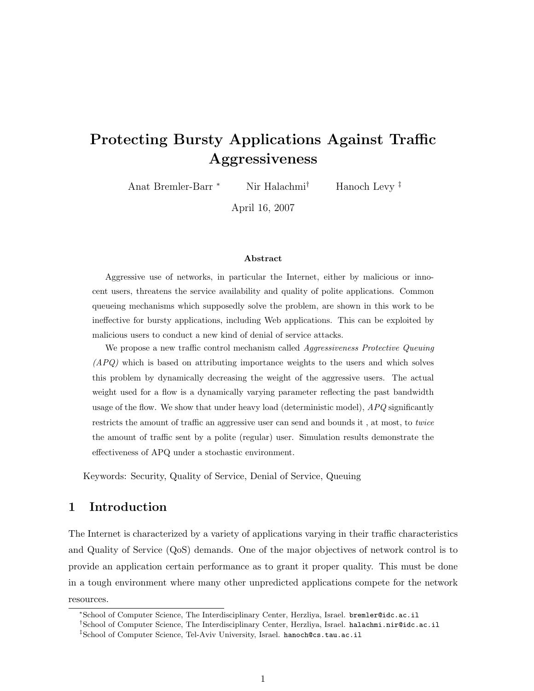# Protecting Bursty Applications Against Traffic Aggressiveness

Anat Bremler-Barr <sup>∗</sup> Nir Halachmi† Hanoch Levy ‡

April 16, 2007

#### Abstract

Aggressive use of networks, in particular the Internet, either by malicious or innocent users, threatens the service availability and quality of polite applications. Common queueing mechanisms which supposedly solve the problem, are shown in this work to be ineffective for bursty applications, including Web applications. This can be exploited by malicious users to conduct a new kind of denial of service attacks.

We propose a new traffic control mechanism called *Aggressiveness Protective Queuing* (APQ) which is based on attributing importance weights to the users and which solves this problem by dynamically decreasing the weight of the aggressive users. The actual weight used for a flow is a dynamically varying parameter reflecting the past bandwidth usage of the flow. We show that under heavy load (deterministic model),  $APQ$  significantly restricts the amount of traffic an aggressive user can send and bounds it , at most, to twice the amount of traffic sent by a polite (regular) user. Simulation results demonstrate the effectiveness of APQ under a stochastic environment.

Keywords: Security, Quality of Service, Denial of Service, Queuing

## 1 Introduction

The Internet is characterized by a variety of applications varying in their traffic characteristics and Quality of Service (QoS) demands. One of the major objectives of network control is to provide an application certain performance as to grant it proper quality. This must be done in a tough environment where many other unpredicted applications compete for the network resources.

<sup>∗</sup>School of Computer Science, The Interdisciplinary Center, Herzliya, Israel. bremler@idc.ac.il

<sup>†</sup>School of Computer Science, The Interdisciplinary Center, Herzliya, Israel. halachmi.nir@idc.ac.il ‡School of Computer Science, Tel-Aviv University, Israel. hanoch@cs.tau.ac.il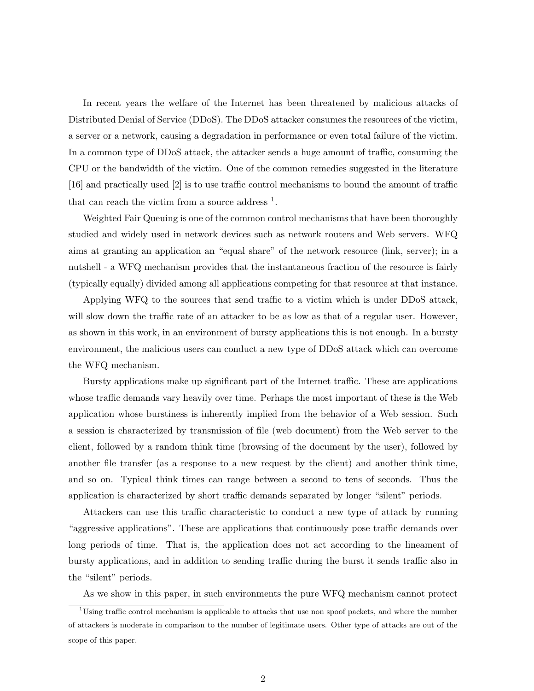In recent years the welfare of the Internet has been threatened by malicious attacks of Distributed Denial of Service (DDoS). The DDoS attacker consumes the resources of the victim, a server or a network, causing a degradation in performance or even total failure of the victim. In a common type of DDoS attack, the attacker sends a huge amount of traffic, consuming the CPU or the bandwidth of the victim. One of the common remedies suggested in the literature [16] and practically used [2] is to use traffic control mechanisms to bound the amount of traffic that can reach the victim from a source address  $<sup>1</sup>$ .</sup>

Weighted Fair Queuing is one of the common control mechanisms that have been thoroughly studied and widely used in network devices such as network routers and Web servers. WFQ aims at granting an application an "equal share" of the network resource (link, server); in a nutshell - a WFQ mechanism provides that the instantaneous fraction of the resource is fairly (typically equally) divided among all applications competing for that resource at that instance.

Applying WFQ to the sources that send traffic to a victim which is under DDoS attack, will slow down the traffic rate of an attacker to be as low as that of a regular user. However, as shown in this work, in an environment of bursty applications this is not enough. In a bursty environment, the malicious users can conduct a new type of DDoS attack which can overcome the WFQ mechanism.

Bursty applications make up significant part of the Internet traffic. These are applications whose traffic demands vary heavily over time. Perhaps the most important of these is the Web application whose burstiness is inherently implied from the behavior of a Web session. Such a session is characterized by transmission of file (web document) from the Web server to the client, followed by a random think time (browsing of the document by the user), followed by another file transfer (as a response to a new request by the client) and another think time, and so on. Typical think times can range between a second to tens of seconds. Thus the application is characterized by short traffic demands separated by longer "silent" periods.

Attackers can use this traffic characteristic to conduct a new type of attack by running "aggressive applications". These are applications that continuously pose traffic demands over long periods of time. That is, the application does not act according to the lineament of bursty applications, and in addition to sending traffic during the burst it sends traffic also in the "silent" periods.

As we show in this paper, in such environments the pure WFQ mechanism cannot protect

<sup>&</sup>lt;sup>1</sup>Using traffic control mechanism is applicable to attacks that use non spoof packets, and where the number of attackers is moderate in comparison to the number of legitimate users. Other type of attacks are out of the scope of this paper.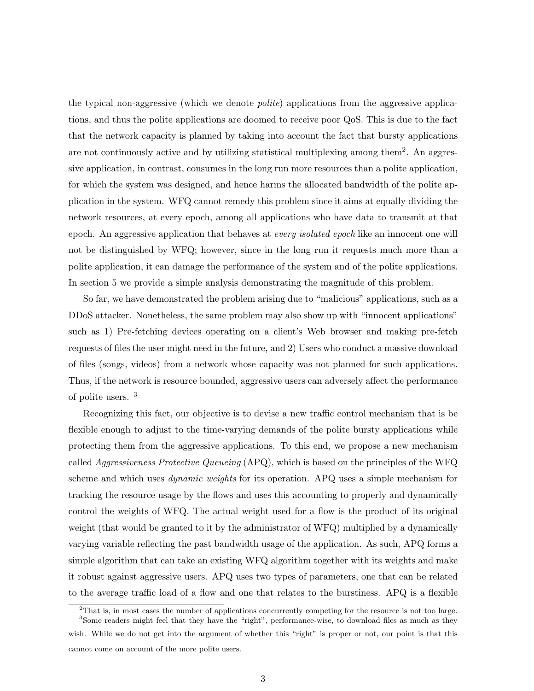the typical non-aggressive (which we denote *polite*) applications from the aggressive applications, and thus the polite applications are doomed to receive poor QoS. This is due to the fact that the network capacity is planned by taking into account the fact that bursty applications are not continuously active and by utilizing statistical multiplexing among them<sup>2</sup>. An aggressive application, in contrast, consumes in the long run more resources than a polite application, for which the system was designed, and hence harms the allocated bandwidth of the polite application in the system. WFQ cannot remedy this problem since it aims at equally dividing the network resources, at every epoch, among all applications who have data to transmit at that epoch. An aggressive application that behaves at *every isolated epoch* like an innocent one will not be distinguished by WFQ; however, since in the long run it requests much more than a polite application, it can damage the performance of the system and of the polite applications. In section 5 we provide a simple analysis demonstrating the magnitude of this problem.

So far, we have demonstrated the problem arising due to "malicious" applications, such as a DDoS attacker. Nonetheless, the same problem may also show up with "innocent applications" such as 1) Pre-fetching devices operating on a client's Web browser and making pre-fetch requests of files the user might need in the future, and 2) Users who conduct a massive download of files (songs, videos) from a network whose capacity was not planned for such applications. Thus, if the network is resource bounded, aggressive users can adversely affect the performance of polite users. <sup>3</sup>

Recognizing this fact, our objective is to devise a new traffic control mechanism that is be flexible enough to adjust to the time-varying demands of the polite bursty applications while protecting them from the aggressive applications. To this end, we propose a new mechanism called Aggressiveness Protective Queueing (APQ), which is based on the principles of the WFQ scheme and which uses dynamic weights for its operation. APQ uses a simple mechanism for tracking the resource usage by the flows and uses this accounting to properly and dynamically control the weights of WFQ. The actual weight used for a flow is the product of its original weight (that would be granted to it by the administrator of WFQ) multiplied by a dynamically varying variable reflecting the past bandwidth usage of the application. As such, APQ forms a simple algorithm that can take an existing WFQ algorithm together with its weights and make it robust against aggressive users. APQ uses two types of parameters, one that can be related to the average traffic load of a flow and one that relates to the burstiness. APQ is a flexible

<sup>2</sup>That is, in most cases the number of applications concurrently competing for the resource is not too large.

<sup>3</sup>Some readers might feel that they have the "right", performance-wise, to download files as much as they wish. While we do not get into the argument of whether this "right" is proper or not, our point is that this cannot come on account of the more polite users.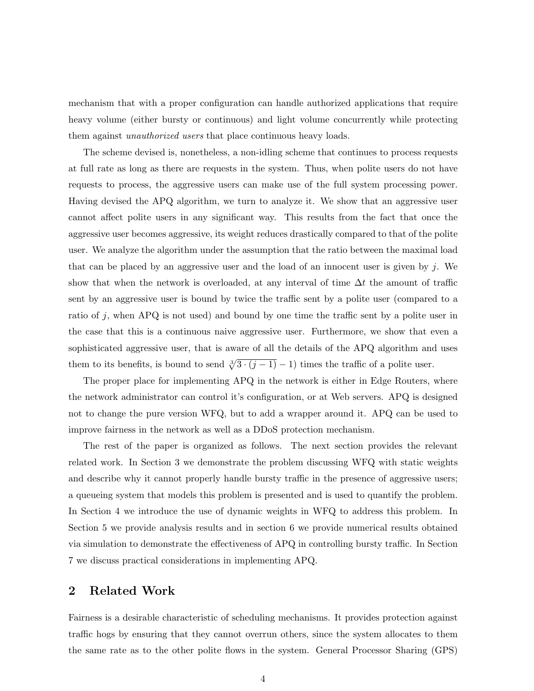mechanism that with a proper configuration can handle authorized applications that require heavy volume (either bursty or continuous) and light volume concurrently while protecting them against unauthorized users that place continuous heavy loads.

The scheme devised is, nonetheless, a non-idling scheme that continues to process requests at full rate as long as there are requests in the system. Thus, when polite users do not have requests to process, the aggressive users can make use of the full system processing power. Having devised the APQ algorithm, we turn to analyze it. We show that an aggressive user cannot affect polite users in any significant way. This results from the fact that once the aggressive user becomes aggressive, its weight reduces drastically compared to that of the polite user. We analyze the algorithm under the assumption that the ratio between the maximal load that can be placed by an aggressive user and the load of an innocent user is given by  $j$ . We show that when the network is overloaded, at any interval of time  $\Delta t$  the amount of traffic sent by an aggressive user is bound by twice the traffic sent by a polite user (compared to a ratio of j, when APQ is not used) and bound by one time the traffic sent by a polite user in the case that this is a continuous naive aggressive user. Furthermore, we show that even a sophisticated aggressive user, that is aware of all the details of the APQ algorithm and uses them to its benefits, is bound to send  $\sqrt[3]{3 \cdot (j-1)} - 1$ ) times the traffic of a polite user.

The proper place for implementing APQ in the network is either in Edge Routers, where the network administrator can control it's configuration, or at Web servers. APQ is designed not to change the pure version WFQ, but to add a wrapper around it. APQ can be used to improve fairness in the network as well as a DDoS protection mechanism.

The rest of the paper is organized as follows. The next section provides the relevant related work. In Section 3 we demonstrate the problem discussing WFQ with static weights and describe why it cannot properly handle bursty traffic in the presence of aggressive users; a queueing system that models this problem is presented and is used to quantify the problem. In Section 4 we introduce the use of dynamic weights in WFQ to address this problem. In Section 5 we provide analysis results and in section 6 we provide numerical results obtained via simulation to demonstrate the effectiveness of APQ in controlling bursty traffic. In Section 7 we discuss practical considerations in implementing APQ.

## 2 Related Work

Fairness is a desirable characteristic of scheduling mechanisms. It provides protection against traffic hogs by ensuring that they cannot overrun others, since the system allocates to them the same rate as to the other polite flows in the system. General Processor Sharing (GPS)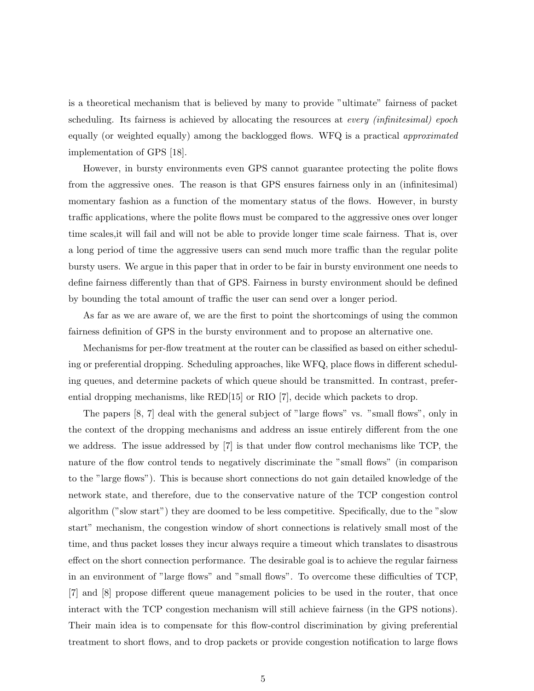is a theoretical mechanism that is believed by many to provide "ultimate" fairness of packet scheduling. Its fairness is achieved by allocating the resources at *every (infinitesimal) epoch* equally (or weighted equally) among the backlogged flows. WFQ is a practical approximated implementation of GPS [18].

However, in bursty environments even GPS cannot guarantee protecting the polite flows from the aggressive ones. The reason is that GPS ensures fairness only in an (infinitesimal) momentary fashion as a function of the momentary status of the flows. However, in bursty traffic applications, where the polite flows must be compared to the aggressive ones over longer time scales,it will fail and will not be able to provide longer time scale fairness. That is, over a long period of time the aggressive users can send much more traffic than the regular polite bursty users. We argue in this paper that in order to be fair in bursty environment one needs to define fairness differently than that of GPS. Fairness in bursty environment should be defined by bounding the total amount of traffic the user can send over a longer period.

As far as we are aware of, we are the first to point the shortcomings of using the common fairness definition of GPS in the bursty environment and to propose an alternative one.

Mechanisms for per-flow treatment at the router can be classified as based on either scheduling or preferential dropping. Scheduling approaches, like WFQ, place flows in different scheduling queues, and determine packets of which queue should be transmitted. In contrast, preferential dropping mechanisms, like RED[15] or RIO [7], decide which packets to drop.

The papers [8, 7] deal with the general subject of "large flows" vs. "small flows", only in the context of the dropping mechanisms and address an issue entirely different from the one we address. The issue addressed by [7] is that under flow control mechanisms like TCP, the nature of the flow control tends to negatively discriminate the "small flows" (in comparison to the "large flows"). This is because short connections do not gain detailed knowledge of the network state, and therefore, due to the conservative nature of the TCP congestion control algorithm ("slow start") they are doomed to be less competitive. Specifically, due to the "slow start" mechanism, the congestion window of short connections is relatively small most of the time, and thus packet losses they incur always require a timeout which translates to disastrous effect on the short connection performance. The desirable goal is to achieve the regular fairness in an environment of "large flows" and "small flows". To overcome these difficulties of TCP, [7] and [8] propose different queue management policies to be used in the router, that once interact with the TCP congestion mechanism will still achieve fairness (in the GPS notions). Their main idea is to compensate for this flow-control discrimination by giving preferential treatment to short flows, and to drop packets or provide congestion notification to large flows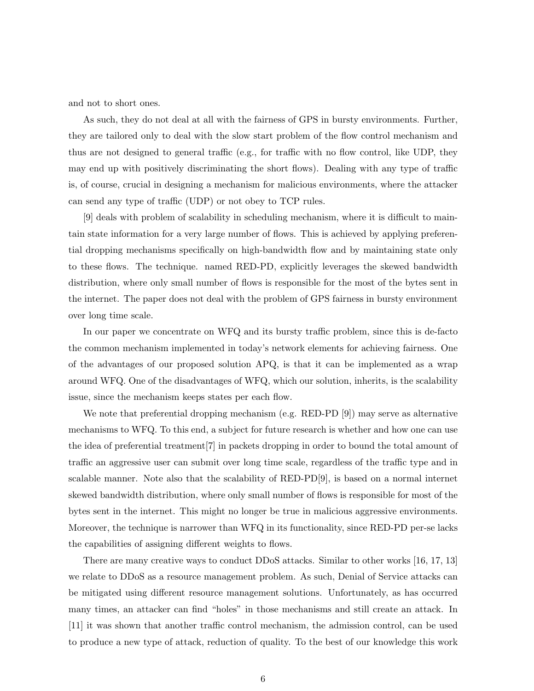and not to short ones.

As such, they do not deal at all with the fairness of GPS in bursty environments. Further, they are tailored only to deal with the slow start problem of the flow control mechanism and thus are not designed to general traffic (e.g., for traffic with no flow control, like UDP, they may end up with positively discriminating the short flows). Dealing with any type of traffic is, of course, crucial in designing a mechanism for malicious environments, where the attacker can send any type of traffic (UDP) or not obey to TCP rules.

[9] deals with problem of scalability in scheduling mechanism, where it is difficult to maintain state information for a very large number of flows. This is achieved by applying preferential dropping mechanisms specifically on high-bandwidth flow and by maintaining state only to these flows. The technique. named RED-PD, explicitly leverages the skewed bandwidth distribution, where only small number of flows is responsible for the most of the bytes sent in the internet. The paper does not deal with the problem of GPS fairness in bursty environment over long time scale.

In our paper we concentrate on WFQ and its bursty traffic problem, since this is de-facto the common mechanism implemented in today's network elements for achieving fairness. One of the advantages of our proposed solution APQ, is that it can be implemented as a wrap around WFQ. One of the disadvantages of WFQ, which our solution, inherits, is the scalability issue, since the mechanism keeps states per each flow.

We note that preferential dropping mechanism (e.g. RED-PD [9]) may serve as alternative mechanisms to WFQ. To this end, a subject for future research is whether and how one can use the idea of preferential treatment[7] in packets dropping in order to bound the total amount of traffic an aggressive user can submit over long time scale, regardless of the traffic type and in scalable manner. Note also that the scalability of RED-PD[9], is based on a normal internet skewed bandwidth distribution, where only small number of flows is responsible for most of the bytes sent in the internet. This might no longer be true in malicious aggressive environments. Moreover, the technique is narrower than WFQ in its functionality, since RED-PD per-se lacks the capabilities of assigning different weights to flows.

There are many creative ways to conduct DDoS attacks. Similar to other works [16, 17, 13] we relate to DDoS as a resource management problem. As such, Denial of Service attacks can be mitigated using different resource management solutions. Unfortunately, as has occurred many times, an attacker can find "holes" in those mechanisms and still create an attack. In [11] it was shown that another traffic control mechanism, the admission control, can be used to produce a new type of attack, reduction of quality. To the best of our knowledge this work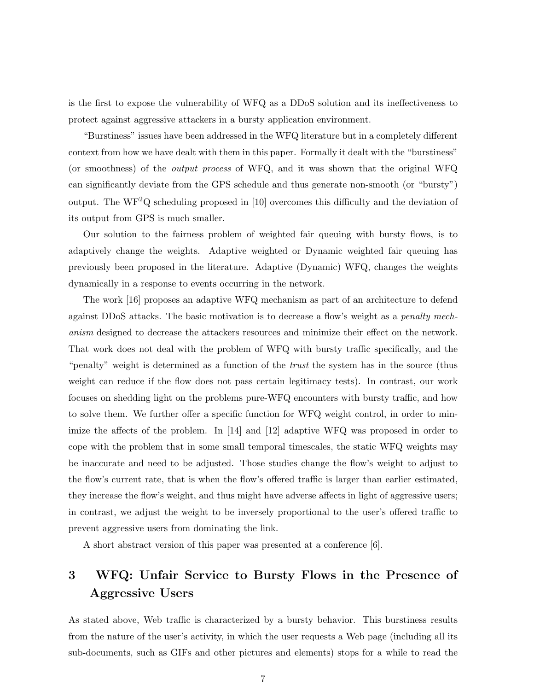is the first to expose the vulnerability of WFQ as a DDoS solution and its ineffectiveness to protect against aggressive attackers in a bursty application environment.

"Burstiness" issues have been addressed in the WFQ literature but in a completely different context from how we have dealt with them in this paper. Formally it dealt with the "burstiness" (or smoothness) of the output process of WFQ, and it was shown that the original WFQ can significantly deviate from the GPS schedule and thus generate non-smooth (or "bursty") output. The  $WF^2Q$  scheduling proposed in [10] overcomes this difficulty and the deviation of its output from GPS is much smaller.

Our solution to the fairness problem of weighted fair queuing with bursty flows, is to adaptively change the weights. Adaptive weighted or Dynamic weighted fair queuing has previously been proposed in the literature. Adaptive (Dynamic) WFQ, changes the weights dynamically in a response to events occurring in the network.

The work [16] proposes an adaptive WFQ mechanism as part of an architecture to defend against DDoS attacks. The basic motivation is to decrease a flow's weight as a penalty mechanism designed to decrease the attackers resources and minimize their effect on the network. That work does not deal with the problem of WFQ with bursty traffic specifically, and the "penalty" weight is determined as a function of the *trust* the system has in the source (thus weight can reduce if the flow does not pass certain legitimacy tests). In contrast, our work focuses on shedding light on the problems pure-WFQ encounters with bursty traffic, and how to solve them. We further offer a specific function for WFQ weight control, in order to minimize the affects of the problem. In [14] and [12] adaptive WFQ was proposed in order to cope with the problem that in some small temporal timescales, the static WFQ weights may be inaccurate and need to be adjusted. Those studies change the flow's weight to adjust to the flow's current rate, that is when the flow's offered traffic is larger than earlier estimated, they increase the flow's weight, and thus might have adverse affects in light of aggressive users; in contrast, we adjust the weight to be inversely proportional to the user's offered traffic to prevent aggressive users from dominating the link.

A short abstract version of this paper was presented at a conference [6].

## 3 WFQ: Unfair Service to Bursty Flows in the Presence of Aggressive Users

As stated above, Web traffic is characterized by a bursty behavior. This burstiness results from the nature of the user's activity, in which the user requests a Web page (including all its sub-documents, such as GIFs and other pictures and elements) stops for a while to read the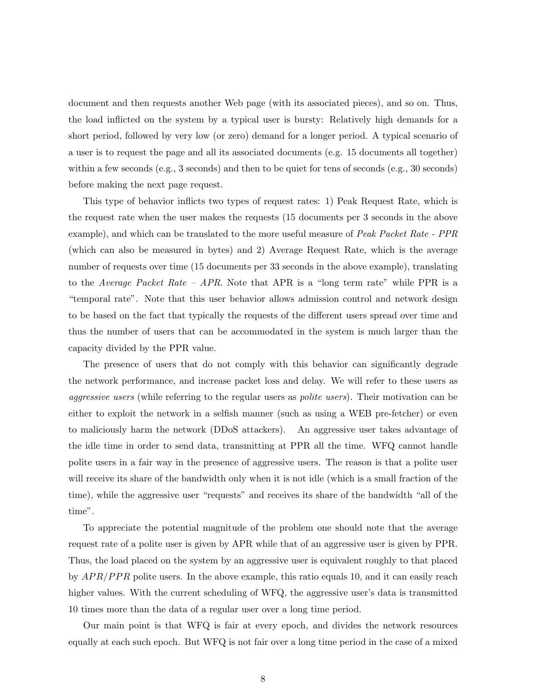document and then requests another Web page (with its associated pieces), and so on. Thus, the load inflicted on the system by a typical user is bursty: Relatively high demands for a short period, followed by very low (or zero) demand for a longer period. A typical scenario of a user is to request the page and all its associated documents (e.g. 15 documents all together) within a few seconds (e.g., 3 seconds) and then to be quiet for tens of seconds (e.g., 30 seconds) before making the next page request.

This type of behavior inflicts two types of request rates: 1) Peak Request Rate, which is the request rate when the user makes the requests (15 documents per 3 seconds in the above example), and which can be translated to the more useful measure of Peak Packet Rate - PPR (which can also be measured in bytes) and 2) Average Request Rate, which is the average number of requests over time (15 documents per 33 seconds in the above example), translating to the Average Packet Rate - APR. Note that APR is a "long term rate" while PPR is a "temporal rate". Note that this user behavior allows admission control and network design to be based on the fact that typically the requests of the different users spread over time and thus the number of users that can be accommodated in the system is much larger than the capacity divided by the PPR value.

The presence of users that do not comply with this behavior can significantly degrade the network performance, and increase packet loss and delay. We will refer to these users as aggressive users (while referring to the regular users as *polite users*). Their motivation can be either to exploit the network in a selfish manner (such as using a WEB pre-fetcher) or even to maliciously harm the network (DDoS attackers). An aggressive user takes advantage of the idle time in order to send data, transmitting at PPR all the time. WFQ cannot handle polite users in a fair way in the presence of aggressive users. The reason is that a polite user will receive its share of the bandwidth only when it is not idle (which is a small fraction of the time), while the aggressive user "requests" and receives its share of the bandwidth "all of the time".

To appreciate the potential magnitude of the problem one should note that the average request rate of a polite user is given by APR while that of an aggressive user is given by PPR. Thus, the load placed on the system by an aggressive user is equivalent roughly to that placed by  $APR/PPR$  polite users. In the above example, this ratio equals 10, and it can easily reach higher values. With the current scheduling of WFQ, the aggressive user's data is transmitted 10 times more than the data of a regular user over a long time period.

Our main point is that WFQ is fair at every epoch, and divides the network resources equally at each such epoch. But WFQ is not fair over a long time period in the case of a mixed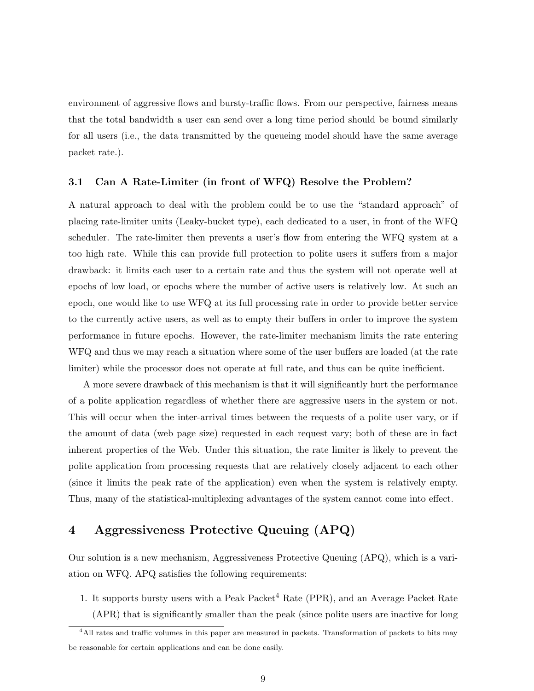environment of aggressive flows and bursty-traffic flows. From our perspective, fairness means that the total bandwidth a user can send over a long time period should be bound similarly for all users (i.e., the data transmitted by the queueing model should have the same average packet rate.).

#### 3.1 Can A Rate-Limiter (in front of WFQ) Resolve the Problem?

A natural approach to deal with the problem could be to use the "standard approach" of placing rate-limiter units (Leaky-bucket type), each dedicated to a user, in front of the WFQ scheduler. The rate-limiter then prevents a user's flow from entering the WFQ system at a too high rate. While this can provide full protection to polite users it suffers from a major drawback: it limits each user to a certain rate and thus the system will not operate well at epochs of low load, or epochs where the number of active users is relatively low. At such an epoch, one would like to use WFQ at its full processing rate in order to provide better service to the currently active users, as well as to empty their buffers in order to improve the system performance in future epochs. However, the rate-limiter mechanism limits the rate entering WFQ and thus we may reach a situation where some of the user buffers are loaded (at the rate limiter) while the processor does not operate at full rate, and thus can be quite inefficient.

A more severe drawback of this mechanism is that it will significantly hurt the performance of a polite application regardless of whether there are aggressive users in the system or not. This will occur when the inter-arrival times between the requests of a polite user vary, or if the amount of data (web page size) requested in each request vary; both of these are in fact inherent properties of the Web. Under this situation, the rate limiter is likely to prevent the polite application from processing requests that are relatively closely adjacent to each other (since it limits the peak rate of the application) even when the system is relatively empty. Thus, many of the statistical-multiplexing advantages of the system cannot come into effect.

## 4 Aggressiveness Protective Queuing (APQ)

Our solution is a new mechanism, Aggressiveness Protective Queuing (APQ), which is a variation on WFQ. APQ satisfies the following requirements:

1. It supports bursty users with a Peak Packet<sup>4</sup> Rate (PPR), and an Average Packet Rate (APR) that is significantly smaller than the peak (since polite users are inactive for long

<sup>&</sup>lt;sup>4</sup>All rates and traffic volumes in this paper are measured in packets. Transformation of packets to bits may be reasonable for certain applications and can be done easily.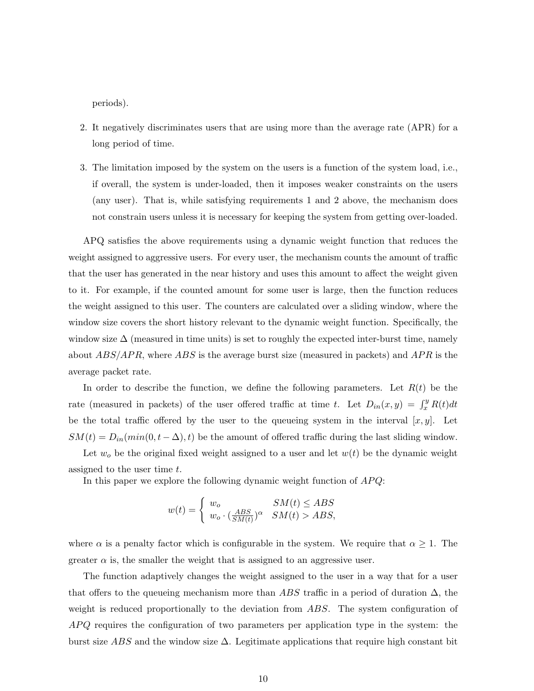periods).

- 2. It negatively discriminates users that are using more than the average rate (APR) for a long period of time.
- 3. The limitation imposed by the system on the users is a function of the system load, i.e., if overall, the system is under-loaded, then it imposes weaker constraints on the users (any user). That is, while satisfying requirements 1 and 2 above, the mechanism does not constrain users unless it is necessary for keeping the system from getting over-loaded.

APQ satisfies the above requirements using a dynamic weight function that reduces the weight assigned to aggressive users. For every user, the mechanism counts the amount of traffic that the user has generated in the near history and uses this amount to affect the weight given to it. For example, if the counted amount for some user is large, then the function reduces the weight assigned to this user. The counters are calculated over a sliding window, where the window size covers the short history relevant to the dynamic weight function. Specifically, the window size  $\Delta$  (measured in time units) is set to roughly the expected inter-burst time, namely about  $ABS/APR$ , where  $ABS$  is the average burst size (measured in packets) and  $APR$  is the average packet rate.

In order to describe the function, we define the following parameters. Let  $R(t)$  be the rate (measured in packets) of the user offered traffic at time t. Let  $D_{in}(x, y) = \int_x^y R(t)dt$ be the total traffic offered by the user to the queueing system in the interval  $[x, y]$ . Let  $SM(t) = D_{in}(min(0, t - \Delta), t)$  be the amount of offered traffic during the last sliding window.

Let  $w<sub>o</sub>$  be the original fixed weight assigned to a user and let  $w(t)$  be the dynamic weight assigned to the user time t.

In this paper we explore the following dynamic weight function of  $APQ$ :

$$
w(t) = \begin{cases} w_o & SM(t) \le ABS \\ w_o \cdot \left(\frac{ABS}{SM(t)}\right)^\alpha & SM(t) > ABS, \end{cases}
$$

where  $\alpha$  is a penalty factor which is configurable in the system. We require that  $\alpha \geq 1$ . The greater  $\alpha$  is, the smaller the weight that is assigned to an aggressive user.

The function adaptively changes the weight assigned to the user in a way that for a user that offers to the queueing mechanism more than ABS traffic in a period of duration  $\Delta$ , the weight is reduced proportionally to the deviation from ABS. The system configuration of  $APQ$  requires the configuration of two parameters per application type in the system: the burst size ABS and the window size  $\Delta$ . Legitimate applications that require high constant bit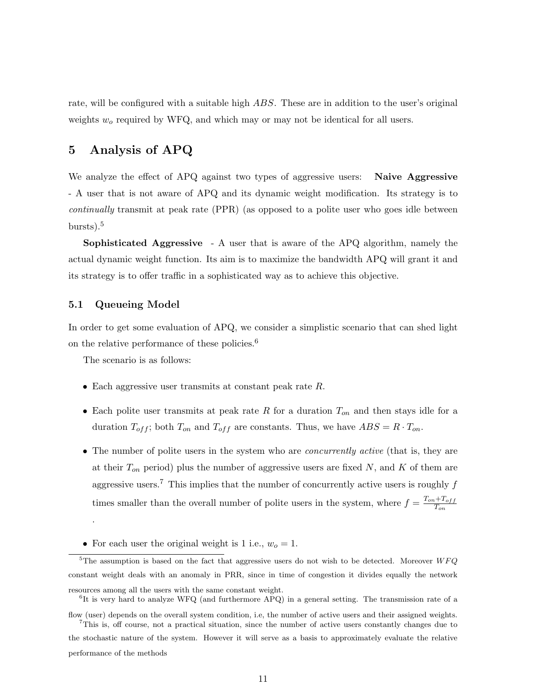rate, will be configured with a suitable high ABS. These are in addition to the user's original weights  $w<sub>o</sub>$  required by WFQ, and which may or may not be identical for all users.

## 5 Analysis of APQ

We analyze the effect of APQ against two types of aggressive users: Naive Aggressive - A user that is not aware of APQ and its dynamic weight modification. Its strategy is to continually transmit at peak rate (PPR) (as opposed to a polite user who goes idle between bursts).<sup>5</sup>

Sophisticated Aggressive - A user that is aware of the APQ algorithm, namely the actual dynamic weight function. Its aim is to maximize the bandwidth APQ will grant it and its strategy is to offer traffic in a sophisticated way as to achieve this objective.

#### 5.1 Queueing Model

In order to get some evaluation of APQ, we consider a simplistic scenario that can shed light on the relative performance of these policies.<sup>6</sup>

The scenario is as follows:

- Each aggressive user transmits at constant peak rate  $R$ .
- Each polite user transmits at peak rate R for a duration  $T_{on}$  and then stays idle for a duration  $T_{off}$ ; both  $T_{on}$  and  $T_{off}$  are constants. Thus, we have  $ABS = R \cdot T_{on}$ .
- The number of polite users in the system who are *concurrently active* (that is, they are at their  $T_{on}$  period) plus the number of aggressive users are fixed  $N$ , and  $K$  of them are aggressive users.<sup>7</sup> This implies that the number of concurrently active users is roughly  $f$ times smaller than the overall number of polite users in the system, where  $f = \frac{T_{on} + T_{off}}{T}$  $\overline{T_{on}}$
- For each user the original weight is 1 i.e.,  $w<sub>o</sub> = 1$ .

.

<sup>&</sup>lt;sup>5</sup>The assumption is based on the fact that aggressive users do not wish to be detected. Moreover  $W F Q$ constant weight deals with an anomaly in PRR, since in time of congestion it divides equally the network resources among all the users with the same constant weight.

<sup>6</sup> It is very hard to analyze WFQ (and furthermore APQ) in a general setting. The transmission rate of a

flow (user) depends on the overall system condition, i.e, the number of active users and their assigned weights. <sup>7</sup>This is, off course, not a practical situation, since the number of active users constantly changes due to the stochastic nature of the system. However it will serve as a basis to approximately evaluate the relative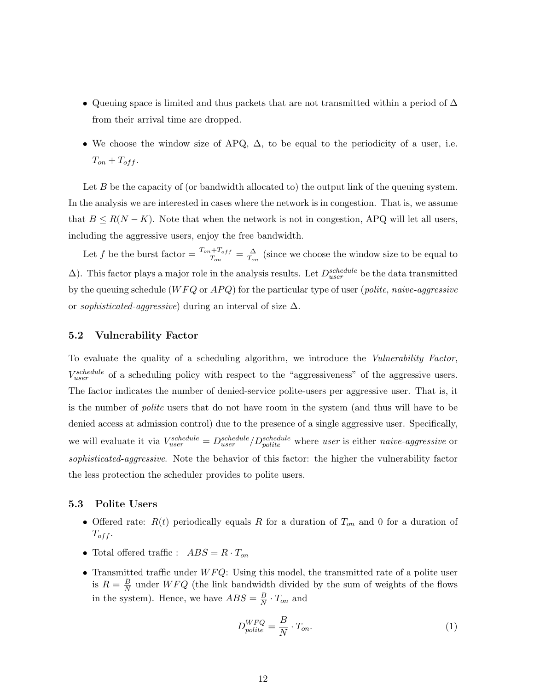- Queuing space is limited and thus packets that are not transmitted within a period of  $\Delta$ from their arrival time are dropped.
- We choose the window size of APQ,  $\Delta$ , to be equal to the periodicity of a user, i.e.  $T_{on} + T_{off}.$

Let  $B$  be the capacity of (or bandwidth allocated to) the output link of the queuing system. In the analysis we are interested in cases where the network is in congestion. That is, we assume that  $B \le R(N - K)$ . Note that when the network is not in congestion, APQ will let all users, including the aggressive users, enjoy the free bandwidth.

Let f be the burst factor  $=\frac{T_{on}+T_{off}}{T_{on}}=\frac{\Delta}{T_{on}}$  $\frac{\Delta}{T_{on}}$  (since we choose the window size to be equal to  $\Delta$ ). This factor plays a major role in the analysis results. Let  $D_{user}^{schedule}$  be the data transmitted by the queuing schedule  $(WFQ \text{ or } APQ)$  for the particular type of user (*polite, naive-aggressive* or sophisticated-aggressive) during an interval of size  $\Delta$ .

#### 5.2 Vulnerability Factor

To evaluate the quality of a scheduling algorithm, we introduce the Vulnerability Factor,  $V_{user}^{schedule}$  of a scheduling policy with respect to the "aggressiveness" of the aggressive users. The factor indicates the number of denied-service polite-users per aggressive user. That is, it is the number of polite users that do not have room in the system (and thus will have to be denied access at admission control) due to the presence of a single aggressive user. Specifically, we will evaluate it via  $V_{user}^{schedule} = D_{user}^{schedule}/D_{policy}^{schedule}$  where user is either naive-aggressive or sophisticated-aggressive. Note the behavior of this factor: the higher the vulnerability factor the less protection the scheduler provides to polite users.

#### 5.3 Polite Users

- Offered rate:  $R(t)$  periodically equals R for a duration of  $T_{on}$  and 0 for a duration of  $T_{off}.$
- Total offered traffic :  $ABS = R \cdot T_{on}$
- Transmitted traffic under  $W F Q$ : Using this model, the transmitted rate of a polite user is  $R = \frac{B}{N}$  $\frac{B}{N}$  under  $W F Q$  (the link bandwidth divided by the sum of weights of the flows in the system). Hence, we have  $ABS = \frac{B}{N}$  $\frac{B}{N} \cdot T_{on}$  and

$$
D_{polite}^{WFQ} = \frac{B}{N} \cdot T_{on}.
$$
\n<sup>(1)</sup>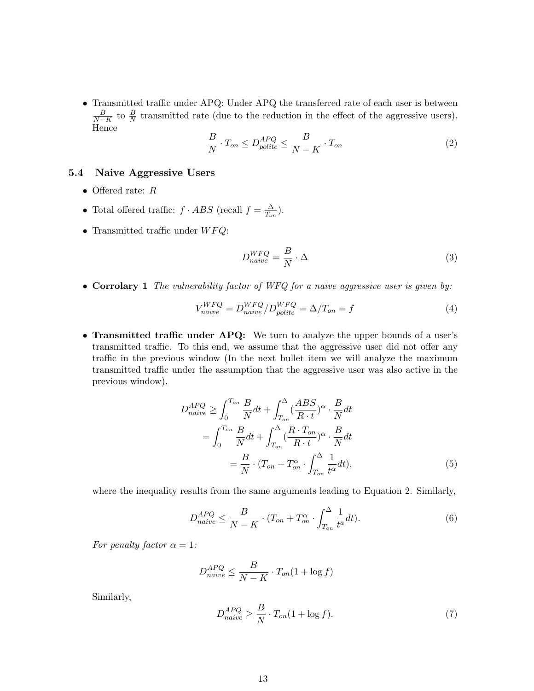• Transmitted traffic under APQ: Under APQ the transferred rate of each user is between B  $\frac{B}{N-K}$  to  $\frac{B}{N}$  transmitted rate (due to the reduction in the effect of the aggressive users). Hence

$$
\frac{B}{N} \cdot T_{on} \le D_{polite}^{APQ} \le \frac{B}{N-K} \cdot T_{on}
$$
\n<sup>(2)</sup>

#### 5.4 Naive Aggressive Users

- Offered rate: R
- Total offered traffic:  $f \cdot ABS$  (recall  $f = \frac{\Delta}{T}$  $\frac{\Delta}{T_{on}}$ ).
- Transmitted traffic under  $W F Q$ :

$$
D_{naive}^{WFQ} = \frac{B}{N} \cdot \Delta \tag{3}
$$

• Corrolary 1 The vulnerability factor of WFQ for a naive aggressive user is given by:

$$
V_{naive}^{WFQ} = D_{naive}^{WFQ} / D_{polite}^{WFQ} = \Delta / T_{on} = f
$$
\n(4)

• Transmitted traffic under APQ: We turn to analyze the upper bounds of a user's transmitted traffic. To this end, we assume that the aggressive user did not offer any traffic in the previous window (In the next bullet item we will analyze the maximum transmitted traffic under the assumption that the aggressive user was also active in the previous window).

$$
D_{naive}^{APQ} \ge \int_0^{T_{on}} \frac{B}{N} dt + \int_{T_{on}}^{\Delta} \left(\frac{ABS}{R \cdot t}\right)^{\alpha} \cdot \frac{B}{N} dt
$$
  
= 
$$
\int_0^{T_{on}} \frac{B}{N} dt + \int_{T_{on}}^{\Delta} \left(\frac{R \cdot T_{on}}{R \cdot t}\right)^{\alpha} \cdot \frac{B}{N} dt
$$
  
= 
$$
\frac{B}{N} \cdot (T_{on} + T_{on}^{\alpha} \cdot \int_{T_{on}}^{\Delta} \frac{1}{t^{\alpha}} dt),
$$
 (5)

where the inequality results from the same arguments leading to Equation 2. Similarly,

$$
D_{naive}^{APQ} \le \frac{B}{N-K} \cdot (T_{on} + T_{on}^{\alpha} \cdot \int_{T_{on}}^{\Delta} \frac{1}{t^a} dt). \tag{6}
$$

For penalty factor  $\alpha = 1$ :

$$
D^{APQ}_{naive} \leq \frac{B}{N-K} \cdot T_{on}(1+\log f)
$$

Similarly,

$$
D_{naive}^{APQ} \ge \frac{B}{N} \cdot T_{on}(1 + \log f). \tag{7}
$$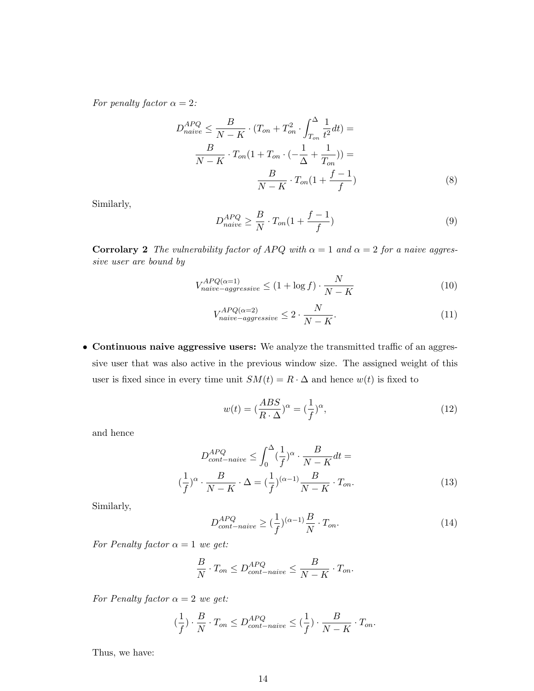For penalty factor  $\alpha = 2$ :

$$
D_{naive}^{APQ} \leq \frac{B}{N-K} \cdot (T_{on} + T_{on}^2 \cdot \int_{T_{on}}^{\Delta} \frac{1}{t^2} dt) =
$$
  

$$
\frac{B}{N-K} \cdot T_{on} (1 + T_{on} \cdot (-\frac{1}{\Delta} + \frac{1}{T_{on}})) =
$$
  

$$
\frac{B}{N-K} \cdot T_{on} (1 + \frac{f-1}{f})
$$
(8)

Similarly,

$$
D_{naive}^{APQ} \ge \frac{B}{N} \cdot T_{on}(1 + \frac{f-1}{f})
$$
\n(9)

Corrolary 2 The vulnerability factor of APQ with  $\alpha = 1$  and  $\alpha = 2$  for a naive aggressive user are bound by

$$
V_{naive-aggressive}^{APQ(\alpha=1)} \le (1 + \log f) \cdot \frac{N}{N - K}
$$
\n(10)

$$
V_{naive-aggressive}^{APQ(\alpha=2)} \le 2 \cdot \frac{N}{N-K}.\tag{11}
$$

• Continuous naive aggressive users: We analyze the transmitted traffic of an aggressive user that was also active in the previous window size. The assigned weight of this user is fixed since in every time unit  $SM(t) = R \cdot \Delta$  and hence  $w(t)$  is fixed to

$$
w(t) = \left(\frac{ABS}{R \cdot \Delta}\right)^{\alpha} = \left(\frac{1}{f}\right)^{\alpha},\tag{12}
$$

and hence

$$
D_{cont-naive}^{APQ} \le \int_0^{\Delta} (\frac{1}{f})^{\alpha} \cdot \frac{B}{N-K} dt =
$$
  

$$
(\frac{1}{f})^{\alpha} \cdot \frac{B}{N-K} \cdot \Delta = (\frac{1}{f})^{(\alpha-1)} \frac{B}{N-K} \cdot T_{on}.
$$
 (13)

Similarly,

$$
D_{cont-naive}^{APQ} \ge (\frac{1}{f})^{(\alpha-1)} \frac{B}{N} \cdot T_{on}.
$$
\n(14)

For Penalty factor  $\alpha = 1$  we get:

$$
\frac{B}{N} \cdot T_{on} \le D_{cont - naive}^{APQ} \le \frac{B}{N - K} \cdot T_{on}.
$$

For Penalty factor  $\alpha = 2$  we get:

$$
(\frac{1}{f}) \cdot \frac{B}{N} \cdot T_{on} \le D_{cont-native}^{APQ} \le (\frac{1}{f}) \cdot \frac{B}{N-K} \cdot T_{on}.
$$

Thus, we have: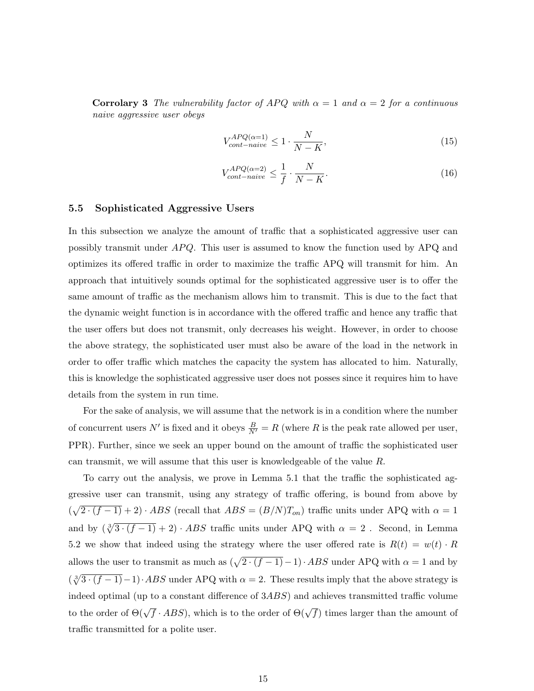**Corrolary 3** The vulnerability factor of APQ with  $\alpha = 1$  and  $\alpha = 2$  for a continuous naive aggressive user obeys

$$
V_{cont-naive}^{APQ(\alpha=1)} \le 1 \cdot \frac{N}{N-K},\tag{15}
$$

$$
V_{cont-naive}^{APQ(\alpha=2)} \le \frac{1}{f} \cdot \frac{N}{N-K}.\tag{16}
$$

#### 5.5 Sophisticated Aggressive Users

In this subsection we analyze the amount of traffic that a sophisticated aggressive user can possibly transmit under  $APQ$ . This user is assumed to know the function used by  $APQ$  and optimizes its offered traffic in order to maximize the traffic APQ will transmit for him. An approach that intuitively sounds optimal for the sophisticated aggressive user is to offer the same amount of traffic as the mechanism allows him to transmit. This is due to the fact that the dynamic weight function is in accordance with the offered traffic and hence any traffic that the user offers but does not transmit, only decreases his weight. However, in order to choose the above strategy, the sophisticated user must also be aware of the load in the network in order to offer traffic which matches the capacity the system has allocated to him. Naturally, this is knowledge the sophisticated aggressive user does not posses since it requires him to have details from the system in run time.

For the sake of analysis, we will assume that the network is in a condition where the number of concurrent users N' is fixed and it obeys  $\frac{B}{N'} = R$  (where R is the peak rate allowed per user, PPR). Further, since we seek an upper bound on the amount of traffic the sophisticated user can transmit, we will assume that this user is knowledgeable of the value R.

To carry out the analysis, we prove in Lemma 5.1 that the traffic the sophisticated aggressive user can transmit, using any strategy of traffic offering, is bound from above by  $(\sqrt{2 \cdot (f-1)} + 2) \cdot ABS$  (recall that  $ABS = (B/N)T_{on}$ ) traffic units under APQ with  $\alpha = 1$ and by  $(\sqrt[3]{3\cdot (f-1)}+2)\cdot ABS$  traffic units under APQ with  $\alpha$  =  $2$  . Second, in Lemma 5.2 we show that indeed using the strategy where the user offered rate is  $R(t) = w(t) \cdot R$ allows the user to transmit as much as  $(\sqrt{2 \cdot (f-1)}-1) \cdot ABS$  under APQ with  $\alpha = 1$  and by  $(\sqrt[3]{3 \cdot (f-1)}-1) \cdot ABS$  under APQ with  $\alpha = 2$ . These results imply that the above strategy is indeed optimal (up to a constant difference of  $3ABS$ ) and achieves transmitted traffic volume to the order of  $\Theta(\sqrt{f} \cdot ABS)$ , which is to the order of  $\Theta(\sqrt{f})$  times larger than the amount of traffic transmitted for a polite user.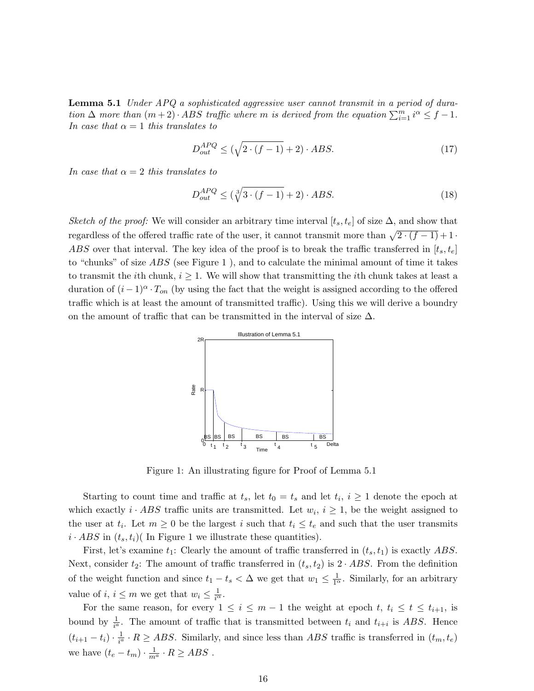Lemma 5.1 Under APQ a sophisticated aggressive user cannot transmit in a period of dura-**Example 1.1** The contentration  $\Delta$  more than  $(m+2) \cdot ABS$  traffic where m is derived from the equation  $\sum_{i=1}^{m} i^{\alpha} \leq f-1$ . In case that  $\alpha = 1$  this translates to

$$
D_{out}^{APQ} \le (\sqrt{2 \cdot (f-1)} + 2) \cdot ABS. \tag{17}
$$

In case that  $\alpha = 2$  this translates to

$$
D_{out}^{APQ} \le (\sqrt[3]{3 \cdot (f-1)} + 2) \cdot ABS. \tag{18}
$$

Sketch of the proof: We will consider an arbitrary time interval  $[t_s, t_e]$  of size  $\Delta$ , and show that regardless of the offered traffic rate of the user, it cannot transmit more than  $\sqrt{2 \cdot (f-1)} + 1$ . ABS over that interval. The key idea of the proof is to break the traffic transferred in  $[t_s, t_e]$ to "chunks" of size ABS (see Figure 1 ), and to calculate the minimal amount of time it takes to transmit the *i*th chunk,  $i \geq 1$ . We will show that transmitting the *i*th chunk takes at least a duration of  $(i-1)^\alpha \cdot T_{on}$  (by using the fact that the weight is assigned according to the offered traffic which is at least the amount of transmitted traffic). Using this we will derive a boundry on the amount of traffic that can be transmitted in the interval of size  $\Delta$ .



Figure 1: An illustrating figure for Proof of Lemma 5.1

Starting to count time and traffic at  $t_s$ , let  $t_0 = t_s$  and let  $t_i$ ,  $i \geq 1$  denote the epoch at which exactly  $i \cdot ABS$  traffic units are transmitted. Let  $w_i$ ,  $i \geq 1$ , be the weight assigned to the user at  $t_i$ . Let  $m \geq 0$  be the largest i such that  $t_i \leq t_e$  and such that the user transmits  $i \cdot ABS$  in  $(t_s, t_i)$  In Figure 1 we illustrate these quantities).

First, let's examine  $t_1$ : Clearly the amount of traffic transferred in  $(t_s, t_1)$  is exactly ABS. Next, consider  $t_2$ : The amount of traffic transferred in  $(t_s, t_2)$  is  $2 \cdot ABS$ . From the definition of the weight function and since  $t_1 - t_s < \Delta$  we get that  $w_1 \leq \frac{1}{1^{\alpha}}$ . Similarly, for an arbitrary value of *i*,  $i \leq m$  we get that  $w_i \leq \frac{1}{i^{\alpha}}$ .

For the same reason, for every  $1 \leq i \leq m-1$  the weight at epoch  $t, t_i \leq t \leq t_{i+1}$ , is bound by  $\frac{1}{i^a}$ . The amount of traffic that is transmitted between  $t_i$  and  $t_{i+i}$  is ABS. Hence  $(t_{i+1} - t_i) \cdot \frac{1}{i^a}$  $\frac{1}{i^a} \cdot R \ge ABS$ . Similarly, and since less than ABS traffic is transferred in  $(t_m, t_e)$ we have  $(t_e - t_m) \cdot \frac{1}{m^a} \cdot R \geq ABS$ .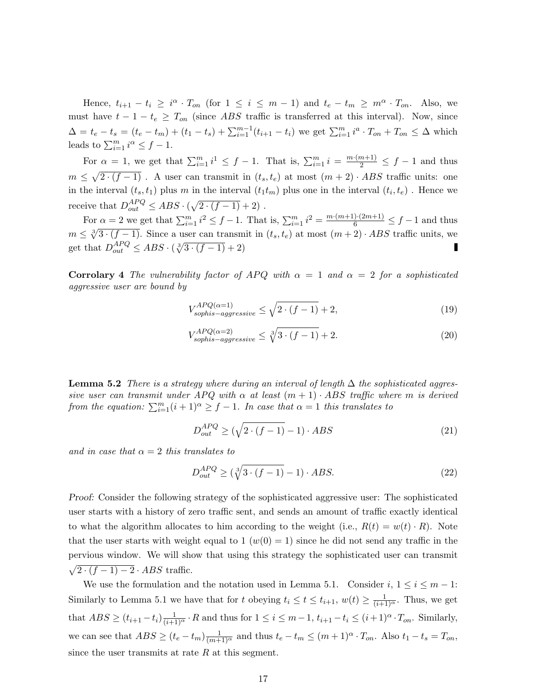Hence,  $t_{i+1} - t_i \geq i^{\alpha} \cdot T_{on}$  (for  $1 \leq i \leq m-1$ ) and  $t_e - t_m \geq m^{\alpha} \cdot T_{on}$ . Also, we must have  $t - 1 - t_e \geq T_{on}$  (since ABS traffic is transferred at this interval). Now, since  $\Delta = t_e - t_s = (t_e - t_m) + (t_1 - t_s) + \sum_{i=1}^{m-1} (t_{i+1} - t_i)$  we get  $\sum_{i=1}^{m} i^a \cdot T_{on} + T_{on} \leq \Delta$  which leads to  $\sum_{i=1}^{m} i^{\alpha} \leq f-1$ .

For  $\alpha = 1$ , we get that  $\sum_{i=1}^{m} i^1 \leq f-1$ . That is,  $\sum_{i=1}^{m} i = \frac{m \cdot (m+1)}{2} \leq f-1$  and thus  $m \leq \sqrt{2 \cdot (f-1)}$ . A user can transmit in  $(t_s, t_e)$  at most  $(m+2) \cdot ABS$  traffic units: one in the interval  $(t_s, t_1)$  plus m in the interval  $(t_1 t_m)$  plus one in the interval  $(t_i, t_e)$ . Hence we receive that  $D_{out}^{APQ} \leq ABS \cdot (\sqrt{2 \cdot (f-1)} + 2)$ .

For  $\alpha = 2$  we get that  $\sum_{i=1}^{m} i^2 \le f-1$ . That is,  $\sum_{i=1}^{m} i^2 = \frac{m \cdot (m+1) \cdot (2m+1)}{6} \le f-1$  and thus  $m \leq \sqrt[3]{3 \cdot (f-1)}$ . Since a user can transmit in  $(t_s, t_e)$  at most  $(m+2) \cdot ABS$  traffic units, we get that  $D_{out}^{APQ} \leq ABS \cdot (\sqrt[3]{3 \cdot (f-1)}+2)$ 

**Corrolary 4** The vulnerability factor of APQ with  $\alpha = 1$  and  $\alpha = 2$  for a sophisticated aggressive user are bound by

$$
V_{sophis-aggressive}^{APQ(\alpha=1)} \le \sqrt{2 \cdot (f-1)} + 2,\tag{19}
$$

$$
V_{sophis-aggressive}^{APQ(\alpha=2)} \le \sqrt[3]{3 \cdot (f-1)} + 2.
$$
 (20)

**Lemma 5.2** There is a strategy where during an interval of length  $\Delta$  the sophisticated aggressive user can transmit under APQ with  $\alpha$  at least  $(m + 1) \cdot ABS$  traffic where m is derived from the equation:  $\sum_{i=1}^{m} (i+1)^{\alpha} \ge f-1$ . In case that  $\alpha = 1$  this translates to

$$
D_{out}^{APQ} \ge (\sqrt{2 \cdot (f-1)} - 1) \cdot ABS \tag{21}
$$

and in case that  $\alpha = 2$  this translates to

$$
D_{out}^{APQ} \ge (\sqrt[3]{3 \cdot (f-1)} - 1) \cdot ABS. \tag{22}
$$

Proof: Consider the following strategy of the sophisticated aggressive user: The sophisticated user starts with a history of zero traffic sent, and sends an amount of traffic exactly identical to what the algorithm allocates to him according to the weight (i.e.,  $R(t) = w(t) \cdot R$ ). Note that the user starts with weight equal to 1 ( $w(0) = 1$ ) since he did not send any traffic in the pervious window. We will show that using this strategy the sophisticated user can transmit  $\sqrt{2\cdot (f-1)-2}\cdot ABS$  traffic.

We use the formulation and the notation used in Lemma 5.1. Consider  $i, 1 \leq i \leq m-1$ : Similarly to Lemma 5.1 we have that for t obeying  $t_i \leq t \leq t_{i+1}$ ,  $w(t) \geq \frac{1}{(i+1)^{\alpha}}$ . Thus, we get that  $ABS \geq (t_{i+1}-t_i)\frac{1}{(i+1)^{\alpha}}\cdot R$  and thus for  $1 \leq i \leq m-1$ ,  $t_{i+1}-t_i \leq (i+1)^{\alpha}\cdot T_{on}$ . Similarly, we can see that  $ABS \geq (t_e - t_m) \frac{1}{(m+1)^{\alpha}}$  and thus  $t_e - t_m \leq (m+1)^{\alpha} \cdot T_{on}$ . Also  $t_1 - t_s = T_{on}$ , since the user transmits at rate  $R$  at this segment.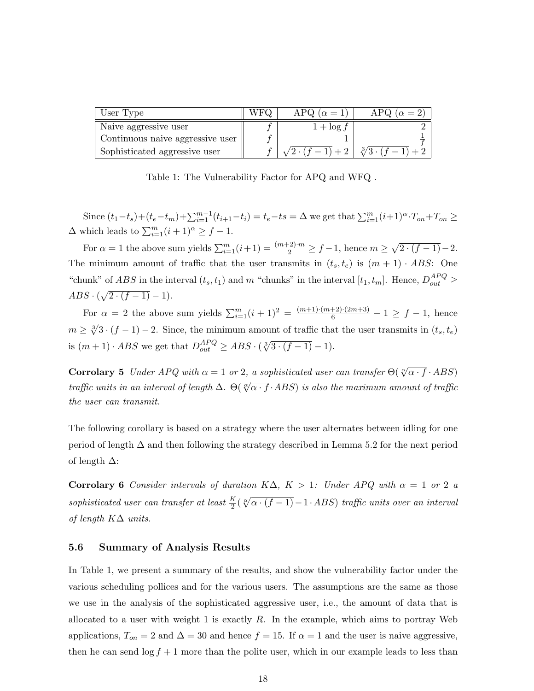| User Type                        | WFQ | APQ $(\alpha = 1)$ | APQ $(\alpha = 2)$ |
|----------------------------------|-----|--------------------|--------------------|
| Naive aggressive user            |     | $1 + log$          |                    |
| Continuous naive aggressive user |     |                    |                    |
| Sophisticated aggressive user    |     |                    |                    |

Table 1: The Vulnerability Factor for APQ and WFQ .

Since  $(t_1-t_s)+(t_e-t_m)+\sum_{i=1}^{m-1}(t_{i+1}-t_i) = t_e-t_s = \Delta$  we get that  $\sum_{i=1}^{m}(i+1)^{\alpha} \cdot T_{on}+T_{on} \ge$  $\Delta$  which leads to  $\sum_{i=1}^{m} (i+1)^{\alpha} \ge f-1$ .

For  $\alpha = 1$  the above sum yields  $\sum_{i=1}^{m} (i+1) = \frac{(m+2)\cdot m}{2} \ge f-1$ , hence  $m \ge \sqrt{2 \cdot (f-1)} - 2$ . The minimum amount of traffic that the user transmits in  $(t_s, t_e)$  is  $(m + 1) \cdot ABS$ : One "chunk" of ABS in the interval  $(t_s, t_1)$  and m "chunks" in the interval  $[t_1, t_m]$ . Hence,  $D_{out}^{APQ} \ge$  $ABS \cdot (\sqrt{2 \cdot (f-1)}-1).$ 

For  $\alpha = 2$  the above sum yields  $\sum_{i=1}^{m} (i + 1)^2 = \frac{(m+1) \cdot (m+2) \cdot (2m+3)}{6} - 1 \ge f - 1$ , hence  $m \geq \sqrt[3]{3 \cdot (f-1)} - 2$ . Since, the minimum amount of traffic that the user transmits in  $(t_s, t_e)$ is  $(m+1) \cdot ABS$  we get that  $D_{out}^{APQ} \ge ABS \cdot (\sqrt[3]{3 \cdot (f-1)} - 1)$ .

**Corrolary 5** Under APQ with  $\alpha = 1$  or 2, a sophisticated user can transfer  $\Theta(\sqrt[\alpha]{\alpha \cdot f} \cdot ABS)$ traffic units in an interval of length  $\Delta$ . Θ( $\sqrt[\infty]{\alpha \cdot f} \cdot ABS$ ) is also the maximum amount of traffic the user can transmit.

The following corollary is based on a strategy where the user alternates between idling for one period of length ∆ and then following the strategy described in Lemma 5.2 for the next period of length  $\Delta$ :

Corrolary 6 Consider intervals of duration  $K\Delta$ ,  $K > 1$ : Under APQ with  $\alpha = 1$  or 2 a sophisticated user can transfer at least  $\frac{K}{2}(\sqrt[\alpha]{\alpha \cdot (f-1)}-1 \cdot ABS)$  traffic units over an interval of length  $K\Delta$  units.

#### 5.6 Summary of Analysis Results

In Table 1, we present a summary of the results, and show the vulnerability factor under the various scheduling pollices and for the various users. The assumptions are the same as those we use in the analysis of the sophisticated aggressive user, i.e., the amount of data that is allocated to a user with weight 1 is exactly  $R$ . In the example, which aims to portray Web applications,  $T_{on} = 2$  and  $\Delta = 30$  and hence  $f = 15$ . If  $\alpha = 1$  and the user is naive aggressive, then he can send  $\log f + 1$  more than the polite user, which in our example leads to less than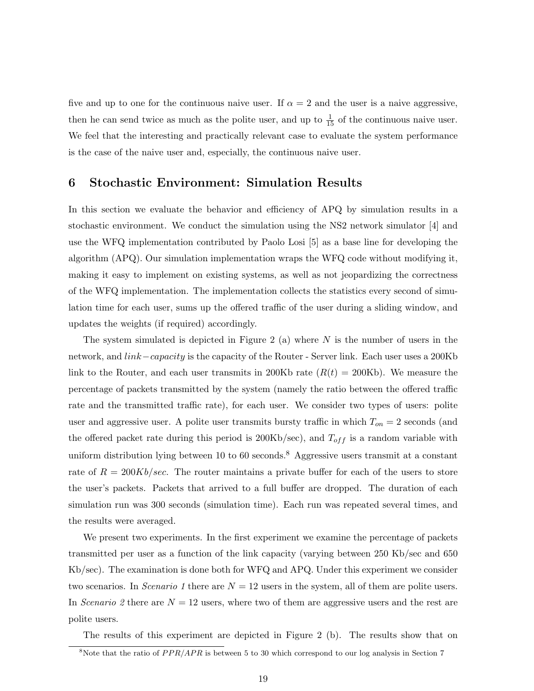five and up to one for the continuous naive user. If  $\alpha = 2$  and the user is a naive aggressive, then he can send twice as much as the polite user, and up to  $\frac{1}{15}$  of the continuous naive user. We feel that the interesting and practically relevant case to evaluate the system performance is the case of the naive user and, especially, the continuous naive user.

### 6 Stochastic Environment: Simulation Results

In this section we evaluate the behavior and efficiency of APQ by simulation results in a stochastic environment. We conduct the simulation using the NS2 network simulator [4] and use the WFQ implementation contributed by Paolo Losi [5] as a base line for developing the algorithm (APQ). Our simulation implementation wraps the WFQ code without modifying it, making it easy to implement on existing systems, as well as not jeopardizing the correctness of the WFQ implementation. The implementation collects the statistics every second of simulation time for each user, sums up the offered traffic of the user during a sliding window, and updates the weights (if required) accordingly.

The system simulated is depicted in Figure 2 (a) where  $N$  is the number of users in the network, and *link – capacity* is the capacity of the Router - Server link. Each user uses a 200Kb link to the Router, and each user transmits in 200Kb rate  $(R(t) = 200 \text{Kb})$ . We measure the percentage of packets transmitted by the system (namely the ratio between the offered traffic rate and the transmitted traffic rate), for each user. We consider two types of users: polite user and aggressive user. A polite user transmits bursty traffic in which  $T_{on} = 2$  seconds (and the offered packet rate during this period is  $200\text{Kb/sec}$ , and  $T_{off}$  is a random variable with uniform distribution lying between 10 to 60 seconds.<sup>8</sup> Aggressive users transmit at a constant rate of  $R = 200Kb/sec$ . The router maintains a private buffer for each of the users to store the user's packets. Packets that arrived to a full buffer are dropped. The duration of each simulation run was 300 seconds (simulation time). Each run was repeated several times, and the results were averaged.

We present two experiments. In the first experiment we examine the percentage of packets transmitted per user as a function of the link capacity (varying between 250 Kb/sec and 650 Kb/sec). The examination is done both for WFQ and APQ. Under this experiment we consider two scenarios. In *Scenario 1* there are  $N = 12$  users in the system, all of them are polite users. In Scenario 2 there are  $N = 12$  users, where two of them are aggressive users and the rest are polite users.

The results of this experiment are depicted in Figure 2 (b). The results show that on

<sup>&</sup>lt;sup>8</sup>Note that the ratio of  $PPR/APR$  is between 5 to 30 which correspond to our log analysis in Section 7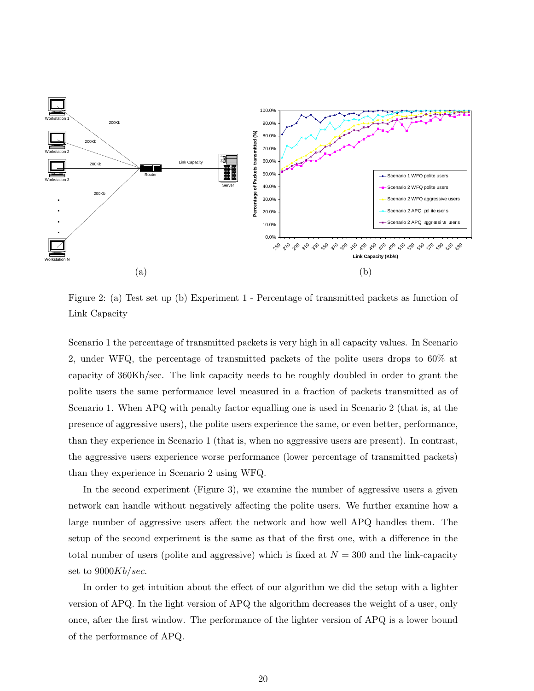

Figure 2: (a) Test set up (b) Experiment 1 - Percentage of transmitted packets as function of Link Capacity

Scenario 1 the percentage of transmitted packets is very high in all capacity values. In Scenario 2, under WFQ, the percentage of transmitted packets of the polite users drops to 60% at capacity of 360Kb/sec. The link capacity needs to be roughly doubled in order to grant the polite users the same performance level measured in a fraction of packets transmitted as of Scenario 1. When APQ with penalty factor equalling one is used in Scenario 2 (that is, at the presence of aggressive users), the polite users experience the same, or even better, performance, than they experience in Scenario 1 (that is, when no aggressive users are present). In contrast, the aggressive users experience worse performance (lower percentage of transmitted packets) than they experience in Scenario 2 using WFQ.

In the second experiment (Figure 3), we examine the number of aggressive users a given network can handle without negatively affecting the polite users. We further examine how a large number of aggressive users affect the network and how well APQ handles them. The setup of the second experiment is the same as that of the first one, with a difference in the total number of users (polite and aggressive) which is fixed at  $N = 300$  and the link-capacity set to  $9000Kb/sec$ .

In order to get intuition about the effect of our algorithm we did the setup with a lighter version of APQ. In the light version of APQ the algorithm decreases the weight of a user, only once, after the first window. The performance of the lighter version of APQ is a lower bound of the performance of APQ.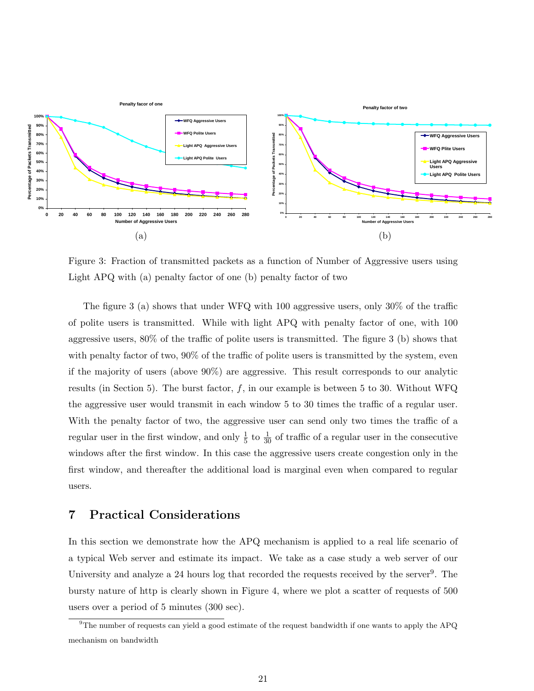

Figure 3: Fraction of transmitted packets as a function of Number of Aggressive users using Light APQ with (a) penalty factor of one (b) penalty factor of two

The figure 3 (a) shows that under WFQ with 100 aggressive users, only 30% of the traffic of polite users is transmitted. While with light APQ with penalty factor of one, with 100 aggressive users, 80% of the traffic of polite users is transmitted. The figure 3 (b) shows that with penalty factor of two, 90% of the traffic of polite users is transmitted by the system, even if the majority of users (above 90%) are aggressive. This result corresponds to our analytic results (in Section 5). The burst factor,  $f$ , in our example is between 5 to 30. Without WFQ the aggressive user would transmit in each window 5 to 30 times the traffic of a regular user. With the penalty factor of two, the aggressive user can send only two times the traffic of a regular user in the first window, and only  $\frac{1}{5}$  to  $\frac{1}{30}$  of traffic of a regular user in the consecutive windows after the first window. In this case the aggressive users create congestion only in the first window, and thereafter the additional load is marginal even when compared to regular users.

## 7 Practical Considerations

In this section we demonstrate how the APQ mechanism is applied to a real life scenario of a typical Web server and estimate its impact. We take as a case study a web server of our University and analyze a 24 hours log that recorded the requests received by the server<sup>9</sup>. The bursty nature of http is clearly shown in Figure 4, where we plot a scatter of requests of 500 users over a period of 5 minutes (300 sec).

 $9$ The number of requests can yield a good estimate of the request bandwidth if one wants to apply the APQ mechanism on bandwidth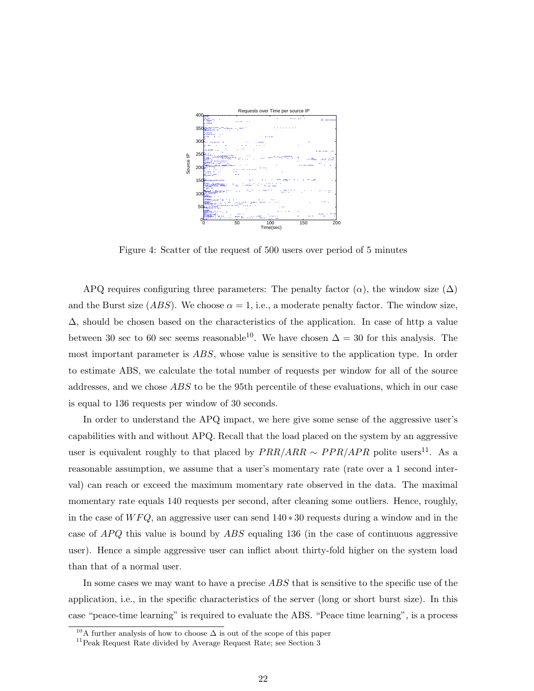

Figure 4: Scatter of the request of 500 users over period of 5 minutes

APQ requires configuring three parameters: The penalty factor  $(\alpha)$ , the window size  $(\Delta)$ and the Burst size  $(ABS)$ . We choose  $\alpha = 1$ , i.e., a moderate penalty factor. The window size,  $\Delta$ , should be chosen based on the characteristics of the application. In case of http a value between 30 sec to 60 sec seems reasonable<sup>10</sup>. We have chosen  $\Delta = 30$  for this analysis. The most important parameter is ABS, whose value is sensitive to the application type. In order to estimate ABS, we calculate the total number of requests per window for all of the source addresses, and we chose ABS to be the 95th percentile of these evaluations, which in our case is equal to 136 requests per window of 30 seconds.

In order to understand the APQ impact, we here give some sense of the aggressive user's capabilities with and without APQ. Recall that the load placed on the system by an aggressive user is equivalent roughly to that placed by  $PRR/ARR \sim PPR/APR$  polite users<sup>11</sup>. As a reasonable assumption, we assume that a user's momentary rate (rate over a 1 second interval) can reach or exceed the maximum momentary rate observed in the data. The maximal momentary rate equals 140 requests per second, after cleaning some outliers. Hence, roughly, in the case of  $W F Q$ , an aggressive user can send  $140 * 30$  requests during a window and in the case of  $APQ$  this value is bound by  $ABS$  equaling 136 (in the case of continuous aggressive user). Hence a simple aggressive user can inflict about thirty-fold higher on the system load than that of a normal user.

In some cases we may want to have a precise ABS that is sensitive to the specific use of the application, i.e., in the specific characteristics of the server (long or short burst size). In this case "peace-time learning" is required to evaluate the ABS. "Peace time learning", is a process

<sup>&</sup>lt;sup>10</sup>A further analysis of how to choose  $\Delta$  is out of the scope of this paper

 $11$ Peak Request Rate divided by Average Request Rate; see Section 3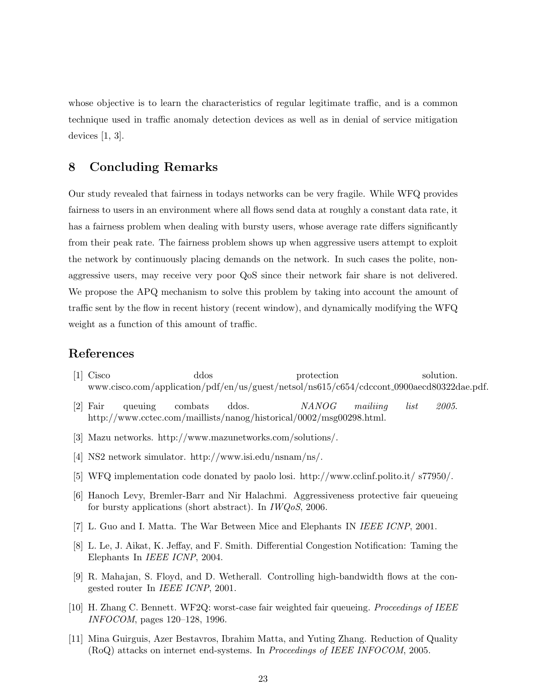whose objective is to learn the characteristics of regular legitimate traffic, and is a common technique used in traffic anomaly detection devices as well as in denial of service mitigation devices [1, 3].

## 8 Concluding Remarks

Our study revealed that fairness in todays networks can be very fragile. While WFQ provides fairness to users in an environment where all flows send data at roughly a constant data rate, it has a fairness problem when dealing with bursty users, whose average rate differs significantly from their peak rate. The fairness problem shows up when aggressive users attempt to exploit the network by continuously placing demands on the network. In such cases the polite, nonaggressive users, may receive very poor QoS since their network fair share is not delivered. We propose the APQ mechanism to solve this problem by taking into account the amount of traffic sent by the flow in recent history (recent window), and dynamically modifying the WFQ weight as a function of this amount of traffic.

## References

- [1] Cisco ddos protection solution. www.cisco.com/application/pdf/en/us/guest/netsol/ns615/c654/cdccont 0900aecd80322dae.pdf.
- [2] Fair queuing combats ddos. NANOG mailiing list 2005. http://www.cctec.com/maillists/nanog/historical/0002/msg00298.html.
- [3] Mazu networks. http://www.mazunetworks.com/solutions/.
- [4] NS2 network simulator. http://www.isi.edu/nsnam/ns/.
- [5] WFQ implementation code donated by paolo losi. http://www.cclinf.polito.it/ s77950/.
- [6] Hanoch Levy, Bremler-Barr and Nir Halachmi. Aggressiveness protective fair queueing for bursty applications (short abstract). In IWQoS, 2006.
- [7] L. Guo and I. Matta. The War Between Mice and Elephants IN IEEE ICNP, 2001.
- [8] L. Le, J. Aikat, K. Jeffay, and F. Smith. Differential Congestion Notification: Taming the Elephants In IEEE ICNP, 2004.
- [9] R. Mahajan, S. Floyd, and D. Wetherall. Controlling high-bandwidth flows at the congested router In IEEE ICNP, 2001.
- [10] H. Zhang C. Bennett. WF2Q: worst-case fair weighted fair queueing. Proceedings of IEEE INFOCOM, pages 120–128, 1996.
- [11] Mina Guirguis, Azer Bestavros, Ibrahim Matta, and Yuting Zhang. Reduction of Quality (RoQ) attacks on internet end-systems. In Proceedings of IEEE INFOCOM, 2005.